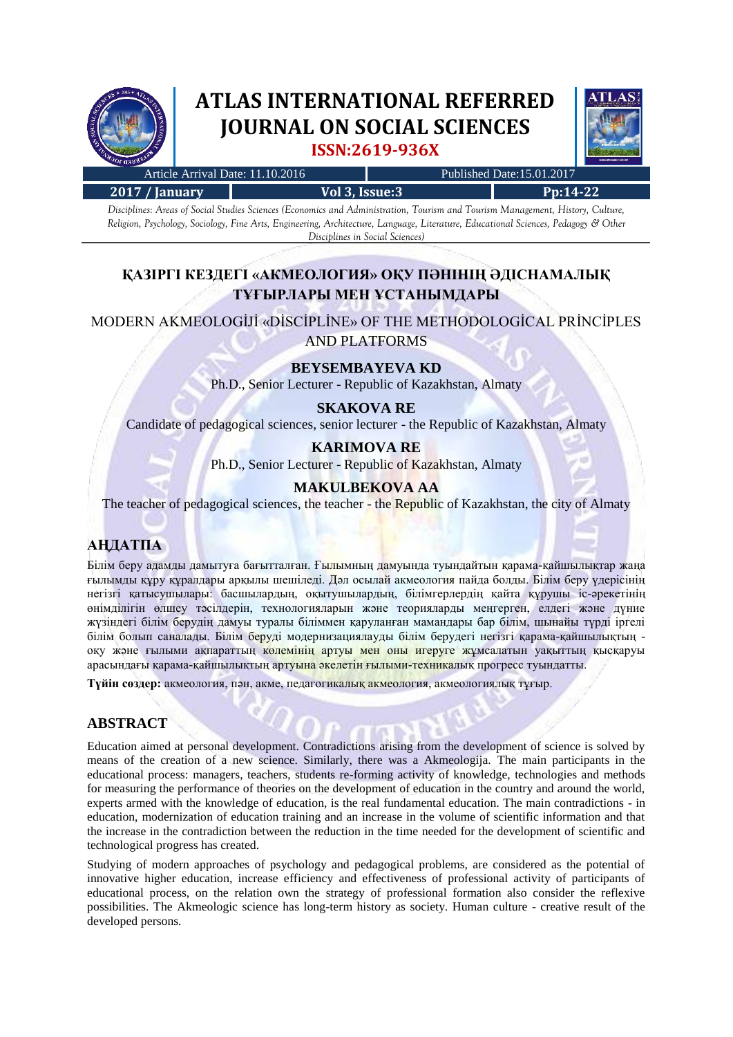

# **ATLAS INTERNATIONAL REFERRED JOURNAL ON SOCIAL SCIENCES ISSN:2619-936X**



| Article Arrival Date: 11.10.2016           |  |  |                                           |  |  |  | Published Date:15.01.2017 |  |  |            |  |  |  |  |
|--------------------------------------------|--|--|-------------------------------------------|--|--|--|---------------------------|--|--|------------|--|--|--|--|
| 2017 / January                             |  |  | Vol 3, Issue: 3                           |  |  |  |                           |  |  | $Pn:14-22$ |  |  |  |  |
| $\mathbf{r}$ . $\mathbf{r}$ . $\mathbf{r}$ |  |  | $\sim$ $\sim$ $\sim$ $\sim$ $\sim$ $\sim$ |  |  |  |                           |  |  |            |  |  |  |  |

*Disciplines: Areas of Social Studies Sciences (Economics and Administration, Tourism and Tourism Management, History, Culture, Religion, Psychology, Sociology, Fine Arts, Engineering, Architecture, Language, Literature, Educational Sciences, Pedagogy & Other Disciplines in Social Sciences)*

# **ҚАЗІРГІ КЕЗДЕГІ «АКМЕОЛОГИЯ» ОҚУ ПӘНІНІҢ ӘДІСНАМАЛЫҚ ТҰҒЫРЛАРЫ МЕН ҰСТАНЫМДАРЫ**

MODERN AKMEOLOGİJİ «DİSCİPLİNE» OF THE METHODOLOGİCAL PRİNCİPLES AND PLATFORMS

## **BEYSEMBAYEVA KD**

Ph.D., Senior Lecturer - Republic of Kazakhstan, Almaty

# **SKAKOVA RE**

Candidate of pedagogical sciences, senior lecturer - the Republic of Kazakhstan, Almaty

# **KARIMOVA RE**

Ph.D., Senior Lecturer - Republic of Kazakhstan, Almaty

## **MAKULBEKOVA AA**

The teacher of pedagogical sciences, the teacher - the Republic of Kazakhstan, the city of Almaty

# **АҢДАТПА**

Білім беру адамды дамытуға бағытталған. Ғылымның дамуында туындайтын қарама-қайшылықтар жаңа ғылымды құру құралдары арқылы шешіледі. Дәл осылай акмеология пайда болды. Білім беру үдерісінің негізгі қатысушылары: басшылардың, оқытушылардың, білімгерлердің қайта құрушы іс-әрекетінің өнімділігін өлшеу тәсілдерін, технологияларын және теорияларды меңгерген, елдегі және дүние жүзіндегі білім берудің дамуы туралы біліммен қаруланған мамандары бар білім, шынайы түрді іргелі білім болып саналады. Білім беруді модернизациялауды білім берудегі негізгі қарама-қайшылықтың оқу және ғылыми ақпараттың көлемінің артуы мен оны игеруге жұмсалатын уақыттың қысқаруы арасындағы қарама-қайшылықтың артуына әкелетін ғылыми-техникалық прогресс туындатты.

**Түйін сөздер:** акмеология, пән, акме, педагогикалық акмеология, акмеологиялық тұғыр.

#### **ABSTRACT**

Education aimed at personal development. Contradictions arising from the development of science is solved by means of the creation of a new science. Similarly, there was a Akmeologija. The main participants in the educational process: managers, teachers, students re-forming activity of knowledge, technologies and methods for measuring the performance of theories on the development of education in the country and around the world, experts armed with the knowledge of education, is the real fundamental education. The main contradictions - in education, modernization of education training and an increase in the volume of scientific information and that the increase in the contradiction between the reduction in the time needed for the development of scientific and technological progress has created.

Studying of modern approaches of psychology and pedagogical problems, are considered as the potential of innovative higher education, increase efficiency and effectiveness of professional activity of participants of educational process, on the relation own the strategy of professional formation also consider the reflexive possibilities. The Akmeologic science has long-term history as society. Human culture - creative result of the developed persons.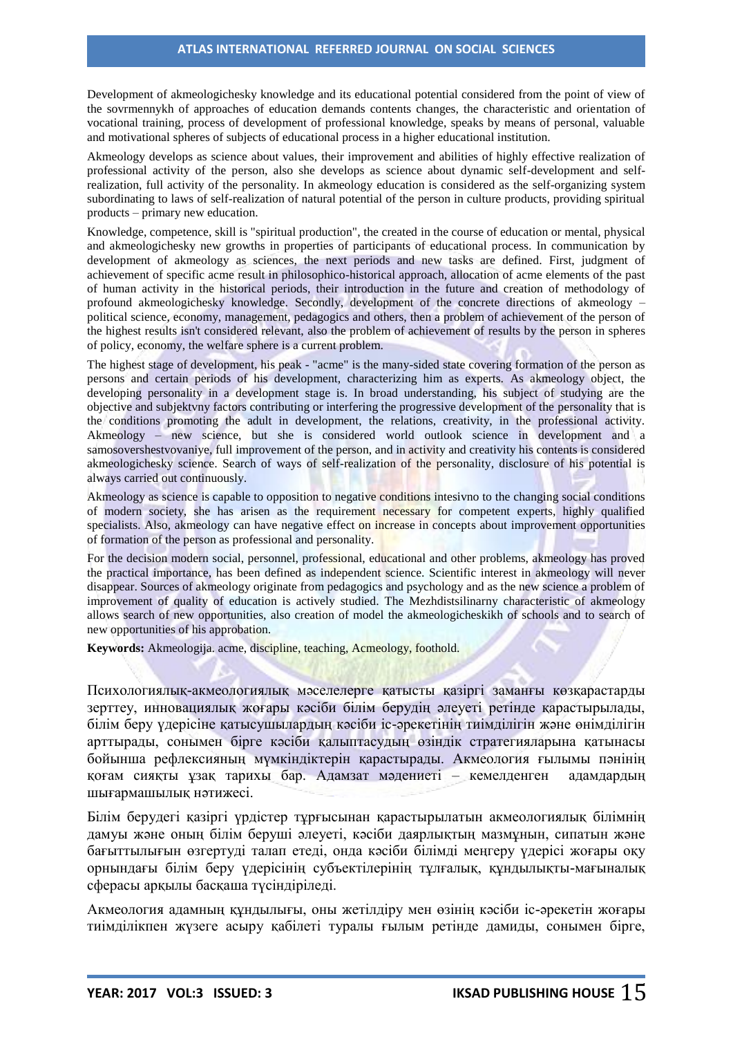Development of akmeologichesky knowledge and its educational potential considered from the point of view of the sovrmennykh of approaches of education demands contents changes, the characteristic and orientation of vocational training, process of development of professional knowledge, speaks by means of personal, valuable and motivational spheres of subjects of educational process in a higher educational institution.

Akmeology develops as science about values, their improvement and abilities of highly effective realization of professional activity of the person, also she develops as science about dynamic self-development and selfrealization, full activity of the personality. In akmeology education is considered as the self-organizing system subordinating to laws of self-realization of natural potential of the person in culture products, providing spiritual products – primary new education.

Knowledge, competence, skill is "spiritual production", the created in the course of education or mental, physical and akmeologichesky new growths in properties of participants of educational process. In communication by development of akmeology as sciences, the next periods and new tasks are defined. First, judgment of achievement of specific acme result in philosophico-historical approach, allocation of acme elements of the past of human activity in the historical periods, their introduction in the future and creation of methodology of profound akmeologichesky knowledge. Secondly, development of the concrete directions of akmeology political science, economy, management, pedagogics and others, then a problem of achievement of the person of the highest results isn't considered relevant, also the problem of achievement of results by the person in spheres of policy, economy, the welfare sphere is a current problem.

The highest stage of development, his peak - "acme" is the many-sided state covering formation of the person as persons and certain periods of his development, characterizing him as experts. As akmeology object, the developing personality in a development stage is. In broad understanding, his subject of studying are the objective and subjektvny factors contributing or interfering the progressive development of the personality that is the conditions promoting the adult in development, the relations, creativity, in the professional activity. Akmeology – new science, but she is considered world outlook science in development and a samosovershestvovaniye, full improvement of the person, and in activity and creativity his contents is considered akmeologichesky science. Search of ways of self-realization of the personality, disclosure of his potential is always carried out continuously.

Akmeology as science is capable to opposition to negative conditions intesivno to the changing social conditions of modern society, she has arisen as the requirement necessary for competent experts, highly qualified specialists. Also, akmeology can have negative effect on increase in concepts about improvement opportunities of formation of the person as professional and personality.

For the decision modern social, personnel, professional, educational and other problems, akmeology has proved the practical importance, has been defined as independent science. Scientific interest in akmeology will never disappear. Sources of akmeology originate from pedagogics and psychology and as the new science a problem of improvement of quality of education is actively studied. The Mezhdistsilinarny characteristic of akmeology allows search of new opportunities, also creation of model the akmeologicheskikh of schools and to search of new opportunities of his approbation.

**Keywords:** Akmeologija. acme, discipline, teaching, Acmeology, foothold.

Психологиялық-акмеологиялық мәселелерге қатысты қазіргі заманғы көзқарастарды зерттеу, инновациялық жоғары кәсіби білім берудің әлеуеті ретінде қарастырылады, білім беру үдерісіне қатысушылардың кәсіби іс-әрекетінің тиімділігін және өнімділігін арттырады, сонымен бірге кәсіби қалыптасудың өзіндік стратегияларына қатынасы бойынша рефлексияның мүмкіндіктерін қарастырады. Акмеология ғылымы пәнінің қоғам сияқты ұзақ тарихы бар. Адамзат мәдениеті – кемелденген адамдардың шығармашылық нәтижесі.

Білім берудегі қазіргі үрдістер тұрғысынан қарастырылатын акмеологиялық білімнің дамуы және оның білім беруші әлеуеті, кәсіби даярлықтың мазмұнын, сипатын және бағыттылығын өзгертуді талап етеді, онда кәсіби білімді меңгеру үдерісі жоғары оқу орнындағы білім беру үдерісінің субъектілерінің тұлғалық, құндылықты-мағыналық сферасы арқылы басқаша түсіндіріледі.

Акмеология адамның құндылығы, оны жетілдіру мен өзінің кәсіби іс-әрекетін жоғары тиімділікпен жүзеге асыру қабілеті туралы ғылым ретінде дамиды, сонымен бірге,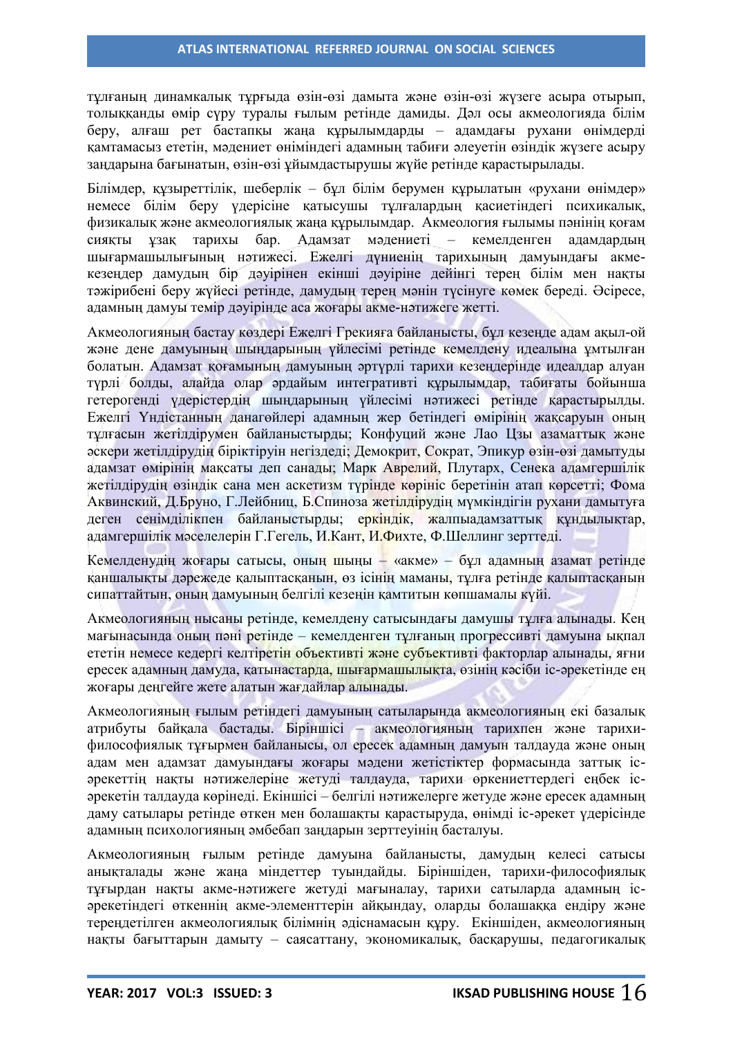тұлғаның динамкалық тұрғыда өзін-өзі дамыта және өзін-өзі жүзеге асыра отырып, толыққанды өмір сүру туралы ғылым ретінде дамиды. Дәл осы акмеологияда білім беру, алғаш рет бастапқы жаңа құрылымдарды – адамдағы рухани өнімдерді қамтамасыз ететін, мәдениет өніміндегі адамның табиғи әлеуетін өзіндік жүзеге асыру заңдарына бағынатын, өзін-өзі ұйымдастырушы жүйе ретінде қарастырылады.

Білімдер, құзыреттілік, шеберлік – бұл білім берумен құрылатын «рухани өнімдер» немесе білім беру үдерісіне қатысушы тұлғалардың қасиетіндегі психикалық, физикалық және акмеологиялық жаңа құрылымдар. Акмеология ғылымы пәнінің қоғам сияқты ұзақ тарихы бар. Адамзат мәдениеті – кемелденген адамдардың шығармашылығының нәтижесі. Ежелгі дүниенің тарихының дамуындағы акмекезеңдер дамудың бір дәуірінен екінші дәуіріне дейінгі терең білім мен нақты тәжірибені беру жүйесі ретінде, дамудың терең мәнін түсінуге көмек береді. Әсіресе, адамның дамуы темір дәуірінде аса жоғары акме-нәтижеге жетті.

Акмеологияның бастау көздері Ежелгі Грекияға байланысты, бұл кезеңде адам ақыл-ой және дене дамуының шыңдарының үйлесімі ретінде кемелдену идеалына ұмтылған болатын. Адамзат қоғамының дамуының әртүрлі тарихи кезеңдерінде идеалдар алуан түрлі болды, алайда олар әрдайым интегративті құрылымдар, табиғаты бойынша гетерогенді үдерістердің шыңдарының үйлесімі нәтижесі ретінде қарастырылды. Ежелгі Үндістанның данагөйлері адамның жер бетіндегі өмірінің жақсаруын оның тұлғасын жетілдірумен байланыстырды; Конфуций және Лао Цзы азаматтық және әскери жетілдірудің біріктіруін негіздеді; Демокрит, Сократ, Эпикур өзін-өзі дамытуды адамзат өмірінің мақсаты деп санады; Марк Аврелий, Плутарх, Сенека адамгершілік жетілдірудің өзіндік сана мен аскетизм түрінде көрініс беретінін атап көрсетті; Фома Аквинский, Д.Бруно, Г.Лейбниц, Б.Спиноза жетілдірудің мүмкіндігін рухани дамытуға деген сенімділікпен байланыстырды; еркіндік, жалпыадамзаттық құндылықтар, адамгершілік мәселелерін Г.Гегель, И.Кант, И.Фихте, Ф.Шеллинг зерттеді.

Кемелденудің жоғары сатысы, оның шыңы – «акме» – бұл адамның азамат ретінде қаншалықты дәрежеде қалыптасқанын, өз ісінің маманы, тұлға ретінде қалыптасқанын сипаттайтын, оның дамуының белгілі кезеңін қамтитын көпшамалы күйі.

Акмеологияның нысаны ретінде, кемелдену сатысындағы дамушы тұлға алынады. Кең мағынасында оның пәні ретінде – кемелденген тұлғаның прогрессивті дамуына ықпал ететін немесе кедергі келтіретін объективті және субъективті факторлар алынады, яғни ересек адамның дамуда, қатынастарда, шығармашылықта, өзінің кәсіби іс-әрекетінде ең жоғары деңгейге жете алатын жағдайлар алынады.

Акмеологияның ғылым ретіндегі дамуының сатыларында акмеологияның екі базалық атрибуты байқала бастады. Біріншісі – акмеологияның тарихпен және тарихифилософиялық тұғырмен байланысы, ол ересек адамның дамуын талдауда және оның адам мен адамзат дамуындағы жоғары мәдени жетістіктер формасында заттық ісәрекеттің нақты нәтижелеріне жетуді талдауда, тарихи өркениеттердегі еңбек ісәрекетін талдауда көрінеді. Екіншісі – белгілі нәтижелерге жетуде және ересек адамның даму сатылары ретінде өткен мен болашақты қарастыруда, өнімді іс-әрекет үдерісінде адамның психологияның әмбебап заңдарын зерттеуінің басталуы.

Акмеологияның ғылым ретінде дамуына байланысты, дамудың келесі сатысы анықталады және жаңа міндеттер туындайды. Біріншіден, тарихи-философиялық тұғырдан нақты акме-нәтижеге жетуді мағыналау, тарихи сатыларда адамның ісәрекетіндегі өткеннің акме-элементтерін айқындау, оларды болашаққа ендіру және тереңдетілген акмеологиялық білімнің әдіснамасын құру. Екіншіден, акмеологияның нақты бағыттарын дамыту – саясаттану, экономикалық, басқарушы, педагогикалық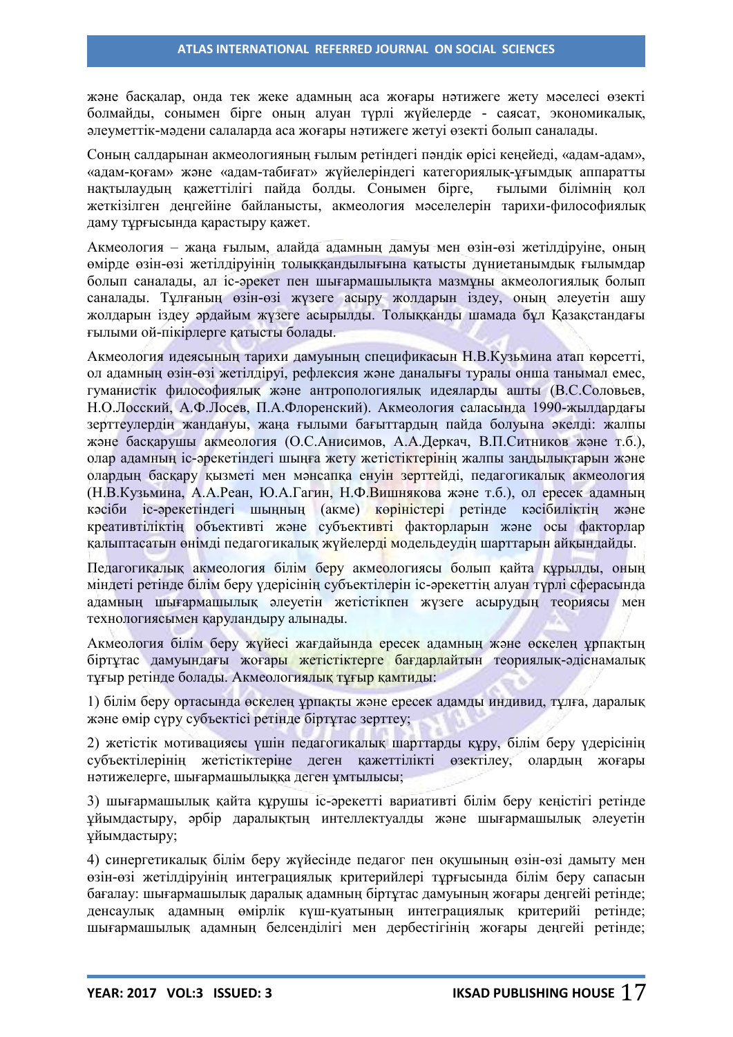және басқалар, онда тек жеке адамның аса жоғары нәтижеге жету мәселесі өзекті болмайды, сонымен бірге оның алуан түрлі жүйелерде - саясат, экономикалық, әлеуметтік-мәдени салаларда аса жоғары нәтижеге жетуі өзекті болып саналады.

Соның салдарынан акмеологияның ғылым ретіндегі пәндік өрісі кеңейеді, «адам-адам», «адам-қоғам» және «адам-табиғат» жүйелеріндегі категориялық-ұғымдық аппаратты нақтылаудың қажеттілігі пайда болды. Сонымен бірге, ғылыми білімнің қол жеткізілген деңгейіне байланысты, акмеология мәселелерін тарихи-философиялық даму тұрғысында қарастыру қажет.

Акмеология – жаңа ғылым, алайда адамның дамуы мен өзін-өзі жетілдіруіне, оның өмірде өзін-өзі жетілдіруінің толыққандылығына қатысты дүниетанымдық ғылымдар болып саналады, ал іс-әрекет пен шығармашылықта мазмұны акмеологиялық болып саналады. Тұлғаның өзін-өзі жүзеге асыру жолдарын іздеу, оның әлеуетін ашу жолдарын іздеу әрдайым жүзеге асырылды. Толыққанды шамада бұл Қазақстандағы ғылыми ой-пікірлерге қатысты болады.

Акмеология идеясының тарихи дамуының спецификасын Н.В.Кузьмина атап көрсетті, ол адамның өзін-өзі жетілдіруі, рефлексия және даналығы туралы онша танымал емес, гуманистік философиялық және антропологиялық идеяларды ашты (В.С.Соловьев, Н.О.Лосский, А.Ф.Лосев, П.А.Флоренский). Акмеология саласында 1990-жылдардағы зерттеулердің жандануы, жаңа ғылыми бағыттардың пайда болуына әкелді: жалпы және басқарушы акмеология (О.С.Анисимов, А.А.Деркач, В.П.Ситников және т.б.), олар адамның іс-әрекетіндегі шыңға жету жетістіктерінің жалпы заңдылықтарын және олардың басқару қызметі мен мәнсапқа енуін зерттейді, педагогикалық акмеология (Н.В.Кузьмина, А.А.Реан, Ю.А.Гагин, Н.Ф.Вишнякова және т.б.), ол ересек адамның кәсіби іс-әрекетіндегі шыңның (акме) көріністері ретінде кәсібиліктің және креативтіліктің объективті және субъективті факторларын және осы факторлар қалыптасатын өнімді педагогикалық жүйелерді модельдеудің шарттарын айқындайды.

Педагогикалық акмеология білім беру акмеологиясы болып қайта құрылды, оның міндеті ретінде білім беру үдерісінің субъектілерін іс-әрекеттің алуан түрлі сферасында адамның шығармашылық әлеуетін жетістікпен жүзеге асырудың теориясы мен технологиясымен қаруландыру алынады.

Акмеология білім беру жүйесі жағдайында ересек адамның және өскелең ұрпақтың біртұтас дамуындағы жоғары жетістіктерге бағдарлайтын теориялық-әдіснамалық тұғыр ретінде болады. Акмеологиялық тұғыр қамтиды:

1) білім беру ортасында өскелең ұрпақты және ересек адамды индивид, тұлға, даралық және өмір сүру субъектісі ретінде біртұтас зерттеу;

2) жетістік мотивациясы үшін педагогикалық шарттарды құру, білім беру үдерісінің субъектілерінің жетістіктеріне деген қажеттілікті өзектілеу, олардың жоғары нәтижелерге, шығармашылыққа деген ұмтылысы;

3) шығармашылық қайта құрушы іс-әрекетті вариативті білім беру кеңістігі ретінде ұйымдастыру, әрбір даралықтың интеллектуалды және шығармашылық әлеуетін ұйымдастыру;

4) синергетикалық білім беру жүйесінде педагог пен оқушының өзін-өзі дамыту мен өзін-өзі жетілдіруінің интеграциялық критерийлері тұрғысында білім беру сапасын бағалау: шығармашылық даралық адамның біртұтас дамуының жоғары деңгейі ретінде; денсаулық адамның өмірлік күш-қуатының интеграциялық критерийі ретінде; шығармашылық адамның белсенділігі мен дербестігінің жоғары деңгейі ретінде;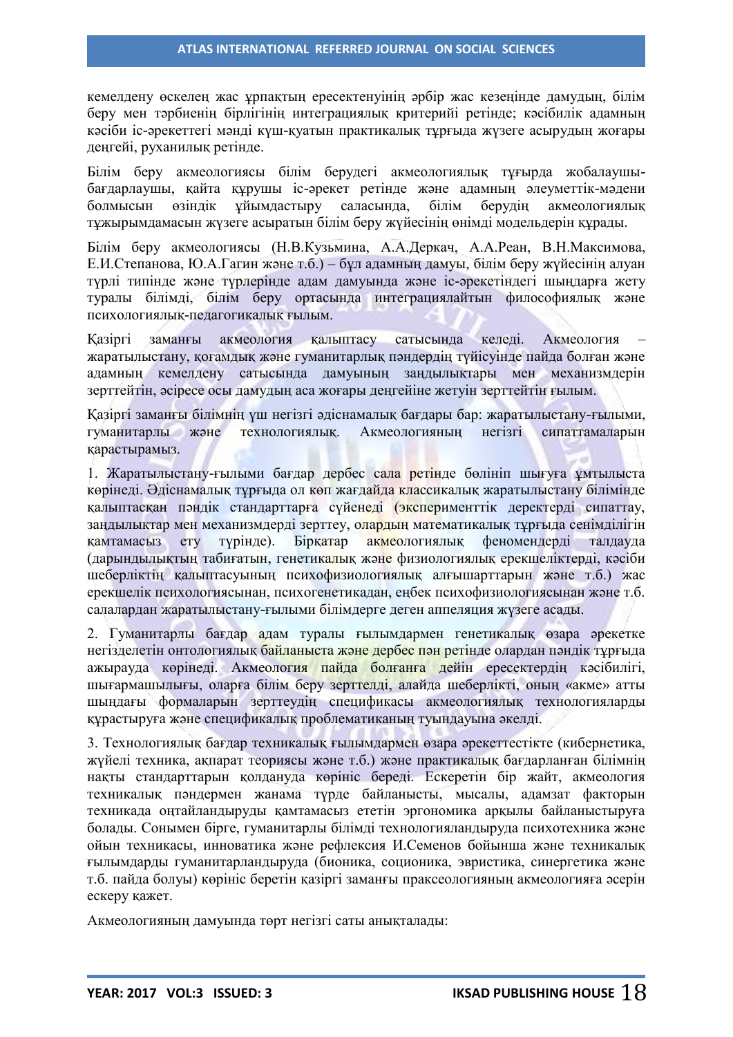кемелдену өскелең жас ұрпақтың ересектенуінің әрбір жас кезеңінде дамудың, білім беру мен тәрбиенің бірлігінің интеграциялық критерийі ретінде; кәсібилік адамның кәсіби іс-әрекеттегі мәнді күш-қуатын практикалық тұрғыда жүзеге асырудың жоғары деңгейі, руханилық ретінде.

Білім беру акмеологиясы білім берудегі акмеологиялық тұғырда жобалаушыбағдарлаушы, қайта құрушы іс-әрекет ретінде және адамның әлеуметтік-мәдени болмысын өзіндік ұйымдастыру саласында, білім берудің акмеологиялық тұжырымдамасын жүзеге асыратын білім беру жүйесінің өнімді модельдерін құрады.

Білім беру акмеологиясы (Н.В.Кузьмина, А.А.Деркач, А.А.Реан, В.Н.Максимова, Е.И.Степанова, Ю.А.Гагин және т.б.) – бұл адамның дамуы, білім беру жүйесінің алуан түрлі типінде және түрлерінде адам дамуында және іс-әрекетіндегі шыңдарға жету туралы білімді, білім беру ортасында интеграциялайтын философиялық және психологиялық-педагогикалық ғылым.

Қазіргі заманғы акмеология қалыптасу сатысында келеді. Акмеология – жаратылыстану, қоғамдық және гуманитарлық пәндердің түйісуінде пайда болған және адамның кемелдену сатысында дамуының заңдылықтары мен механизмдерін зерттейтін, әсіресе осы дамудың аса жоғары деңгейіне жетуін зерттейтін ғылым.

Қазіргі заманғы білімнің үш негізгі әдіснамалық бағдары бар: жаратылыстану-ғылыми, гуманитарлы және технологиялық. Акмеологияның негізгі сипаттамаларын қарастырамыз.

1. Жаратылыстану-ғылыми бағдар дербес сала ретінде бөлініп шығуға ұмтылыста көрінеді. Әдіснамалық тұрғыда ол көп жағдайда классикалық жаратылыстану білімінде қалыптасқан пәндік стандарттарға сүйенеді (эксперименттік деректерді сипаттау, заңдылықтар мен механизмдерді зерттеу, олардың математикалық тұрғыда сенімділігін қамтамасыз ету түрінде). Бірқатар акмеологиялық феномендерді талдауда (дарындылықтың табиғатын, генетикалық және физиологиялық ерекшеліктерді, кәсіби шеберліктің қалыптасуының психофизиологиялық алғышарттарын және т.б.) жас ерекшелік психологиясынан, психогенетикадан, еңбек психофизиологиясынан және т.б. салалардан жаратылыстану-ғылыми білімдерге деген аппеляция жүзеге асады.

2. Гуманитарлы бағдар адам туралы ғылымдармен генетикалық өзара әрекетке негізделетін онтологиялық байланыста және дербес пән ретінде олардан пәндік тұрғыда ажырауда көрінеді. Акмеология пайда болғанға дейін ересектердің кәсібилігі, шығармашылығы, оларға білім беру зерттелді, алайда шеберлікті, оның «акме» атты шыңдағы формаларын зерттеудің спецификасы акмеологиялық технологияларды құрастыруға және спецификалық проблематиканың туындауына әкелді.

3. Технологиялық бағдар техникалық ғылымдармен өзара әрекеттестікте (кибернетика, жүйелі техника, ақпарат теориясы және т.б.) және практикалық бағдарланған білімнің нақты стандарттарын қолдануда көрініс береді. Ескеретін бір жайт, акмеология техникалық пәндермен жанама түрде байланысты, мысалы, адамзат факторын техникада оңтайландыруды қамтамасыз ететін эргономика арқылы байланыстыруға болады. Сонымен бірге, гуманитарлы білімді технологияландыруда психотехника және ойын техникасы, инноватика және рефлексия И.Семенов бойынша және техникалық ғылымдарды гуманитарландыруда (бионика, соционика, эвристика, синергетика және т.б. пайда болуы) көрініс беретін қазіргі заманғы праксеологияның акмеологияға әсерін ескеру қажет.

Акмеологияның дамуында төрт негізгі саты анықталады: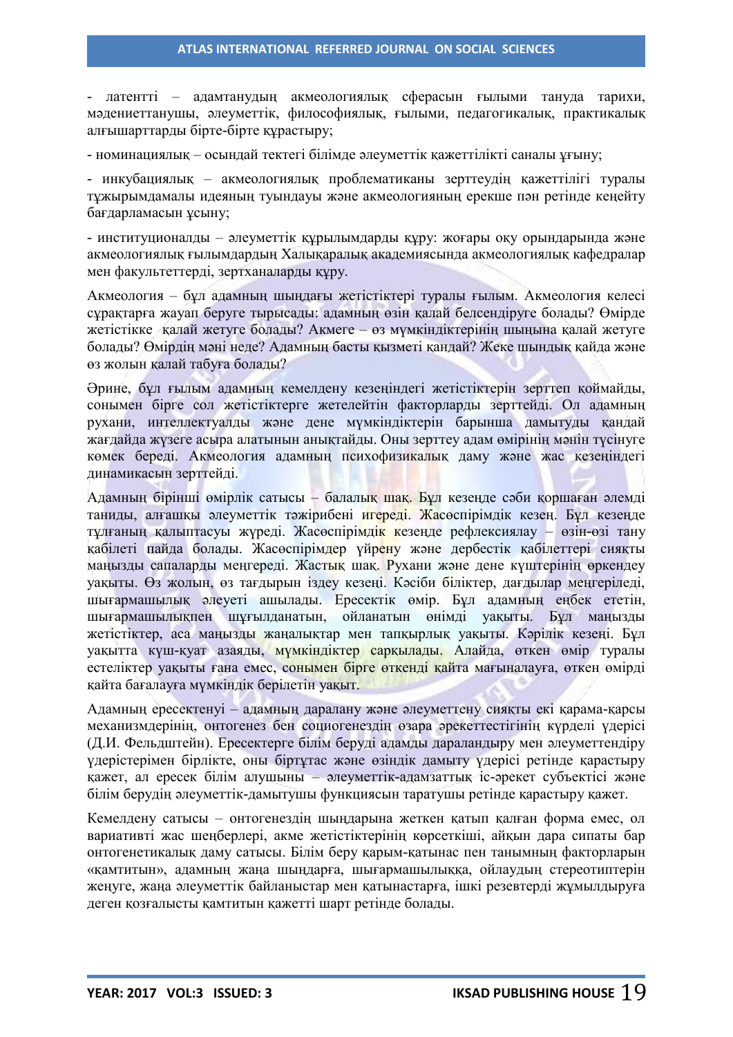- латентті – адамтанудың акмеологиялық сферасын ғылыми тануда тарихи, мәдениеттанушы, әлеуметтік, философиялық, ғылыми, педагогикалық, практикалық алғышарттарды бірте-бірте құрастыру;

- номинациялық – осындай тектегі білімде әлеуметтік қажеттілікті саналы ұғыну;

- инкубациялық – акмеологиялық проблематиканы зерттеудің қажеттілігі туралы тұжырымдамалы идеяның туындауы және акмеологияның ерекше пән ретінде кеңейту бағдарламасын ұсыну;

- институционалды – әлеуметтік құрылымдарды құру: жоғары оқу орындарында және акмеологиялық ғылымдардың Халықаралық академиясында акмеологиялық кафедралар мен факультеттерді, зертханаларды құру.

Акмеология – бұл адамның шыңдағы жетістіктері туралы ғылым. Акмеология келесі сұрақтарға жауап беруге тырысады: адамның өзін қалай белсендіруге болады? Өмірде жетістікке қалай жетуге болады? Акмеге – өз мүмкіндіктерінің шыңына қалай жетуге болады? Өмірдің мәні неде? Адамның басты қызметі қандай? Жеке шындық қайда және өз жолын қалай табуға болады?

Әрине, бұл ғылым адамның кемелдену кезеңіндегі жетістіктерін зерттеп қоймайды, сонымен бірге сол жетістіктерге жетелейтін факторларды зерттейді. Ол адамның рухани, интеллектуалды және дене мүмкіндіктерін барынша дамытуды қандай жағдайда жүзеге асыра алатынын анықтайды. Оны зерттеу адам өмірінің мәнін түсінуге көмек береді. Акмеология адамның психофизикалық даму және жас кезеңіндегі динамикасын зерттейді.

Адамның бірінші өмірлік сатысы – балалық шақ. Бұл кезеңде сәби қоршаған әлемді таниды, алғашқы әлеуметтік тәжірибені игереді. Жасөспірімдік кезең. Бұл кезеңде тұлғаның қалыптасуы жүреді. Жасөспірімдік кезеңде рефлексиялау – өзін-өзі тану қабілеті пайда болады. Жасөспірімдер үйрену және дербестік қабілеттері сияқты маңызды сапаларды меңгереді. Жастық шақ. Рухани және дене күштерінің өркендеу уақыты. Өз жолын, өз тағдырын іздеу кезеңі. Кәсіби біліктер, дағдылар меңгеріледі, шығармашылық әлеуеті ашылады. Ересектік өмір. Бұл адамның еңбек ететін, шығармашылықпен шұғылданатын, ойланатын өнімді уақыты. Бұл маңызды жетістіктер, аса маңызды жаңалықтар мен тапқырлық уақыты. Кәрілік кезеңі. Бұл уақытта күш-қуат азаяды, мүмкіндіктер сарқылады. Алайда, өткен өмір туралы естеліктер уақыты ғана емес, сонымен бірге өткенді қайта мағыналауға, өткен өмірді қайта бағалауға мүмкіндік берілетін уақыт.

Адамның ересектенуі – адамның даралану және әлеуметтену сияқты екі қарама-қарсы механизмдерінің, онтогенез бен социогенездің өзара әрекеттестігінің күрделі үдерісі (Д.И. Фельдштейн). Ересектерге білім беруді адамды дараландыру мен әлеуметтендіру үдерістерімен бірлікте, оны біртұтас және өзіндік дамыту үдерісі ретінде қарастыру қажет, ал ересек білім алушыны – әлеуметтік-адамзаттық іс-әрекет субъектісі және білім берудің әлеуметтік-дамытушы функциясын таратушы ретінде қарастыру қажет.

Кемелдену сатысы – онтогенездің шыңдарына жеткен қатып қалған форма емес, ол вариативті жас шеңберлері, акме жетістіктерінің көрсеткіші, айқын дара сипаты бар онтогенетикалық даму сатысы. Білім беру қарым-қатынас пен танымның факторларын «қамтитын», адамның жаңа шыңдарға, шығармашылыққа, ойлаудың стереотиптерін жеңуге, жаңа әлеуметтік байланыстар мен қатынастарға, ішкі резевтерді жұмылдыруға деген қозғалысты қамтитын қажетті шарт ретінде болады.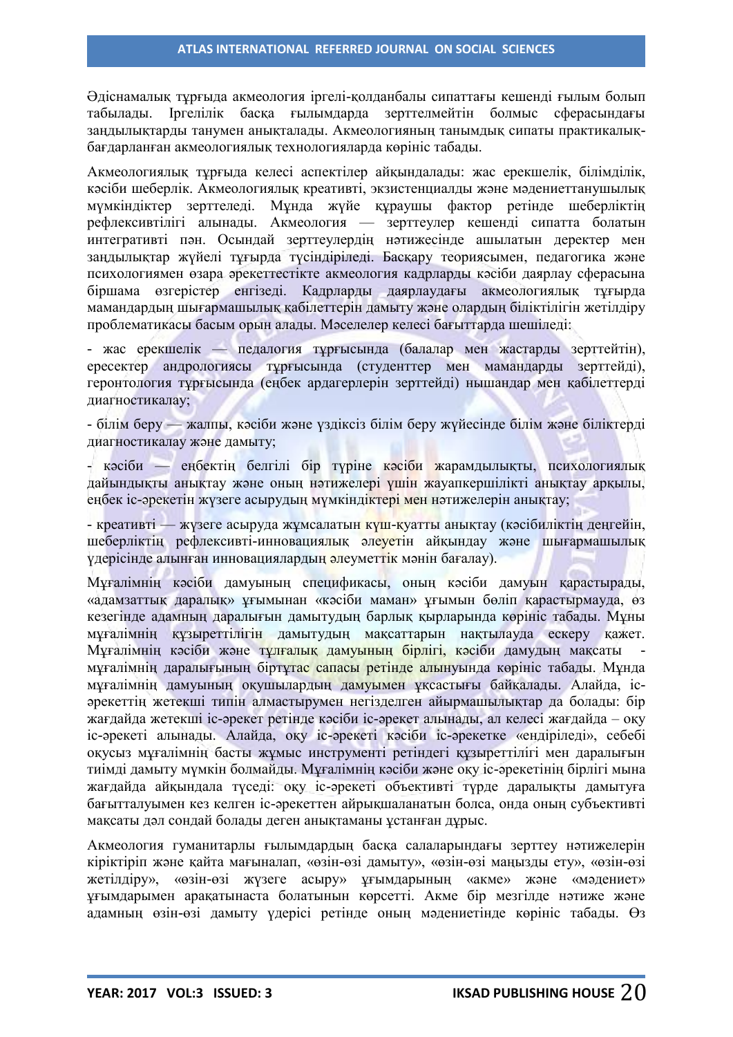Әдіснамалық тұрғыда акмеология іргелі-қолданбалы сипаттағы кешенді ғылым болып табылады. Іргелілік басқа ғылымдарда зерттелмейтін болмыс сферасындағы заңдылықтарды танумен анықталады. Акмеологияның танымдық сипаты практикалықбағдарланған акмеологиялық технологияларда көрініс табады.

Акмеологиялық тұрғыда келесі аспектілер айқындалады: жас ерекшелік, білімділік, кәсіби шеберлік. Акмеологиялық креативті, экзистенциалды және мәдениеттанушылық мүмкіндіктер зерттеледі. Мұнда жүйе құраушы фактор ретінде шеберліктің рефлексивтілігі алынады. Акмеология — зерттеулер кешенді сипатта болатын интегративті пән. Осындай зерттеулердің нәтижесінде ашылатын деректер мен заңдылықтар жүйелі тұғырда түсіндіріледі. Басқару теориясымен, педагогика және психологиямен өзара әрекеттестікте акмеология кадрларды кәсіби даярлау сферасына біршама өзгерістер енгізеді. Кадрларды даярлаудағы акмеологиялық тұғырда мамандардың шығармашылық қабілеттерін дамыту және олардың біліктілігін жетілдіру проблематикасы басым орын алады. Мәселелер келесі бағыттарда шешіледі:

- жас ерекшелік — педалогия тұрғысында (балалар мен жастарды зерттейтін), ересектер андрологиясы тұрғысында (студенттер мен мамандарды зерттейді), геронтология тұрғысында (еңбек ардагерлерін зерттейді) нышандар мен қабілеттерді диагностикалау;

- білім беру — жалпы, кәсіби және үздіксіз білім беру жүйесінде білім және біліктерді диагностикалау және дамыту;

- кәсіби — еңбектің белгілі бір түріне кәсіби жарамдылықты, психологиялық дайындықты анықтау және оның нәтижелері үшін жауапкершілікті анықтау арқылы, еңбек іс-әрекетін жүзеге асырудың мүмкіндіктері мен нәтижелерін анықтау;

- креативті — жүзеге асыруда жұмсалатын күш-қуатты анықтау (кәсібиліктің деңгейін, шеберліктің рефлексивті-инновациялық әлеуетін айқындау және шығармашылық үдерісінде алынған инновациялардың әлеуметтік мәнін бағалау).

Мұғалімнің кәсіби дамуының спецификасы, оның кәсіби дамуын қарастырады, «адамзаттық даралық» ұғымынан «кәсіби маман» ұғымын бөліп қарастырмауда, өз кезегінде адамның даралығын дамытудың барлық қырларында көрініс табады. Мұны мұғалімнің құзыреттілігін дамытудың мақсаттарын нақтылауда ескеру қажет. Мұғалімнің кәсіби және тұлғалық дамуының бірлігі, кәсіби дамудың мақсаты мұғалімнің даралығының біртұтас сапасы ретінде алынуында көрініс табады. Мұнда мұғалімнің дамуының оқушылардың дамуымен ұқсастығы байқалады. Алайда, ісәрекеттің жетекші типін алмастырумен негізделген айырмашылықтар да болады: бір жағдайда жетекші іс-әрекет ретінде кәсіби іс-әрекет алынады, ал келесі жағдайда – оқу іс-әрекеті алынады. Алайда, оқу іс-әрекеті кәсіби іс-әрекетке «ендіріледі», себебі оқусыз мұғалімнің басты жұмыс инструменті ретіндегі құзыреттілігі мен даралығын тиімді дамыту мүмкін болмайды. Мұғалімнің кәсіби және оқу іс-әрекетінің бірлігі мына жағдайда айқындала түседі: оқу іс-әрекеті объективті түрде даралықты дамытуға бағытталуымен кез келген іс-әрекеттен айрықшаланатын болса, онда оның субъективті мақсаты дәл сондай болады деген анықтаманы ұстанған дұрыс.

Акмеология гуманитарлы ғылымдардың басқа салаларындағы зерттеу нәтижелерін кіріктіріп және қайта мағыналап, «өзін-өзі дамыту», «өзін-өзі маңызды ету», «өзін-өзі жетілдіру», «өзін-өзі жүзеге асыру» ұғымдарының «акме» және «мәдениет» ұғымдарымен арақатынаста болатынын көрсетті. Акме бір мезгілде нәтиже және адамның өзін-өзі дамыту үдерісі ретінде оның мәдениетінде көрініс табады. Өз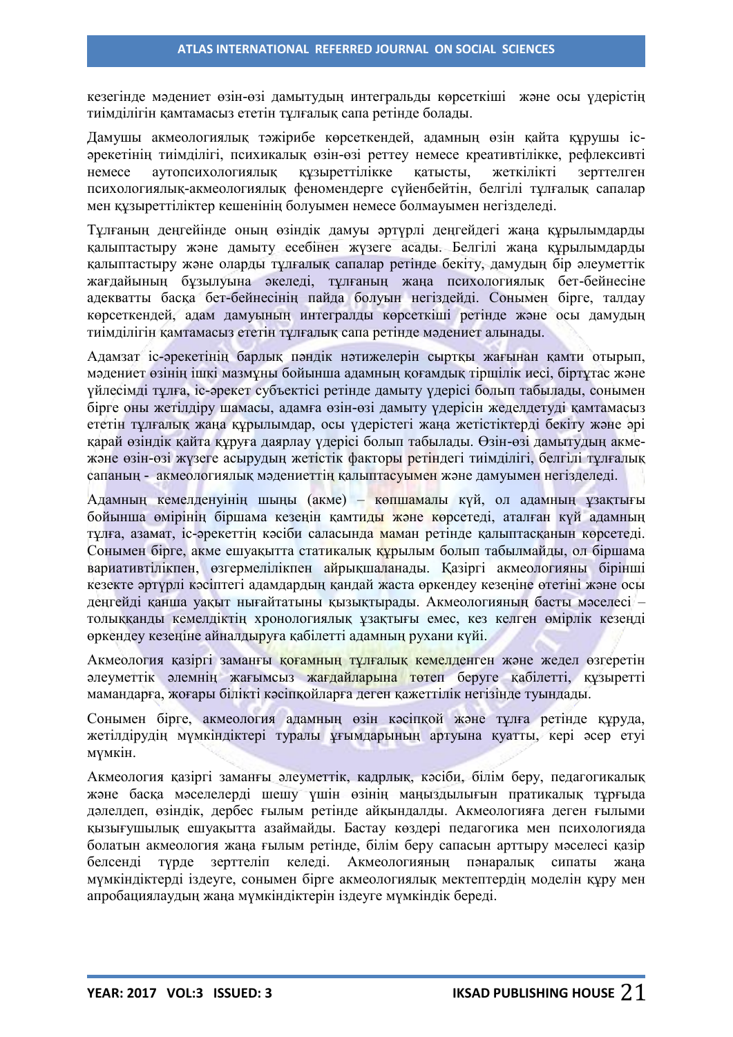кезегінде мәдениет өзін-өзі дамытудың интегральды көрсеткіші және осы үдерістің тиімділігін қамтамасыз ететін тұлғалық сапа ретінде болады.

Дамушы акмеологиялық тәжірибе көрсеткендей, адамның өзін қайта құрушы ісәрекетінің тиімділігі, психикалық өзін-өзі реттеу немесе креативтілікке, рефлексивті немесе аутопсихологиялық құзыреттілікке қатысты, жеткілікті зерттелген психологиялық-акмеологиялық феномендерге сүйенбейтін, белгілі тұлғалық сапалар мен құзыреттіліктер кешенінің болуымен немесе болмауымен негізделеді.

Тұлғаның деңгейінде оның өзіндік дамуы әртүрлі деңгейдегі жаңа құрылымдарды қалыптастыру және дамыту есебінен жүзеге асады. Белгілі жаңа құрылымдарды қалыптастыру және оларды тұлғалық сапалар ретінде бекіту, дамудың бір әлеуметтік жағдайының бұзылуына әкеледі, тұлғаның жаңа психологиялық бет-бейнесіне адекватты басқа бет-бейнесінің пайда болуын негіздейді. Сонымен бірге, талдау көрсеткендей, адам дамуының интегралды көрсеткіші ретінде және осы дамудың тиімділігін қамтамасыз ететін тұлғалық сапа ретінде мәдениет алынады.

Адамзат іс-әрекетінің барлық пәндік нәтижелерін сыртқы жағынан қамти отырып, мәдениет өзінің ішкі мазмұны бойынша адамның қоғамдық тіршілік иесі, біртұтас және үйлесімді тұлға, іс-әрекет субъектісі ретінде дамыту үдерісі болып табылады, сонымен бірге оны жетілдіру шамасы, адамға өзін-өзі дамыту үдерісін жеделдетуді қамтамасыз ететін тұлғалық жаңа құрылымдар, осы үдерістегі жаңа жетістіктерді бекіту және әрі қарай өзіндік қайта құруға даярлау үдерісі болып табылады. Өзін-өзі дамытудың акмежәне өзін-өзі жүзеге асырудың жетістік факторы ретіндегі тиімділігі, белгілі тұлғалық сапаның - акмеологиялық мәдениеттің қалыптасуымен және дамуымен негізделеді.

Адамның кемелденуінің шыңы (акме) – көпшамалы күй, ол адамның ұзақтығы бойынша өмірінің біршама кезеңін қамтиды және көрсетеді, аталған күй адамның тұлға, азамат, іс-әрекеттің кәсіби саласында маман ретінде қалыптасқанын көрсетеді. Сонымен бірге, акме ешуақытта статикалық құрылым болып табылмайды, ол біршама вариативтілікпен, өзгермелілікпен айрықшаланады. Қазіргі акмеологияны бірінші кезекте әртүрлі кәсіптегі адамдардың қандай жаста өркендеу кезеңіне өтетіні және осы деңгейді қанша уақыт нығайтатыны қызықтырады. Акмеологияның басты мәселесі – толыққанды кемелдіктің хронологиялық ұзақтығы емес, кез келген өмірлік кезеңді өркендеу кезеңіне айналдыруға қабілетті адамның рухани күйі.

Акмеология қазіргі заманғы қоғамның тұлғалық кемелденген және жедел өзгеретін әлеуметтік әлемнің жағымсыз жағдайларына төтеп беруге қабілетті, құзыретті мамандарға, жоғары білікті кәсіпқойларға деген қажеттілік негізінде туындады.

Сонымен бірге, акмеология адамның өзін кәсіпқой және тұлға ретінде құруда, жетілдірудің мүмкіндіктері туралы ұғымдарының артуына қуатты, кері әсер етуі мүмкін.

Акмеология қазіргі заманғы әлеуметтік, кадрлық, кәсіби, білім беру, педагогикалық және басқа мәселелерді шешу үшін өзінің маңыздылығын пратикалық тұрғыда дәлелдеп, өзіндік, дербес ғылым ретінде айқындалды. Акмеологияға деген ғылыми қызығушылық ешуақытта азаймайды. Бастау көздері педагогика мен психологияда болатын акмеология жаңа ғылым ретінде, білім беру сапасын арттыру мәселесі қазір белсенді түрде зерттеліп келеді. Акмеологияның пәнаралық сипаты жаңа мүмкіндіктерді іздеуге, сонымен бірге акмеологиялық мектептердің моделін құру мен апробациялаудың жаңа мүмкіндіктерін іздеуге мүмкіндік береді.